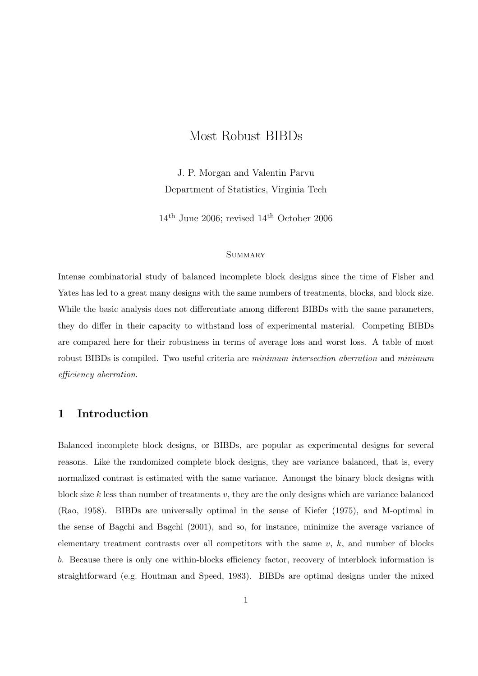# Most Robust BIBDs

J. P. Morgan and Valentin Parvu Department of Statistics, Virginia Tech

 $14^{\rm th}$ June 2006; revised  $14^{\rm th}$  October 2006

#### **SUMMARY**

Intense combinatorial study of balanced incomplete block designs since the time of Fisher and Yates has led to a great many designs with the same numbers of treatments, blocks, and block size. While the basic analysis does not differentiate among different BIBDs with the same parameters, they do differ in their capacity to withstand loss of experimental material. Competing BIBDs are compared here for their robustness in terms of average loss and worst loss. A table of most robust BIBDs is compiled. Two useful criteria are minimum intersection aberration and minimum efficiency aberration.

# 1 Introduction

Balanced incomplete block designs, or BIBDs, are popular as experimental designs for several reasons. Like the randomized complete block designs, they are variance balanced, that is, every normalized contrast is estimated with the same variance. Amongst the binary block designs with block size k less than number of treatments v, they are the only designs which are variance balanced (Rao, 1958). BIBDs are universally optimal in the sense of Kiefer (1975), and M-optimal in the sense of Bagchi and Bagchi (2001), and so, for instance, minimize the average variance of elementary treatment contrasts over all competitors with the same  $v, k$ , and number of blocks b. Because there is only one within-blocks efficiency factor, recovery of interblock information is straightforward (e.g. Houtman and Speed, 1983). BIBDs are optimal designs under the mixed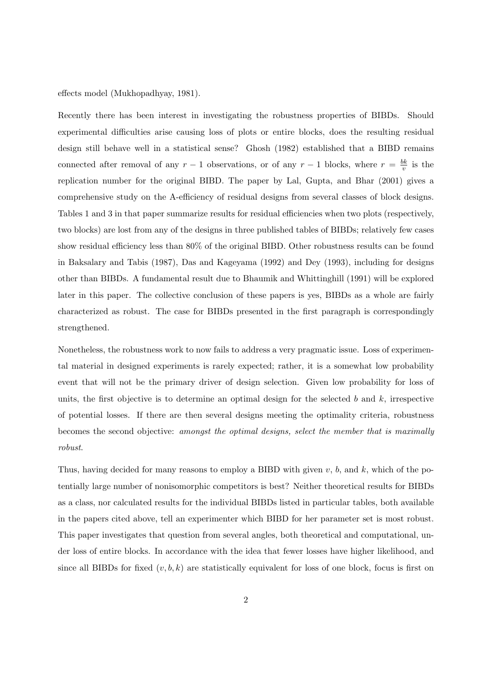effects model (Mukhopadhyay, 1981).

Recently there has been interest in investigating the robustness properties of BIBDs. Should experimental difficulties arise causing loss of plots or entire blocks, does the resulting residual design still behave well in a statistical sense? Ghosh (1982) established that a BIBD remains connected after removal of any  $r-1$  observations, or of any  $r-1$  blocks, where  $r = \frac{bk}{n}$  $\frac{dk}{v}$  is the replication number for the original BIBD. The paper by Lal, Gupta, and Bhar (2001) gives a comprehensive study on the A-efficiency of residual designs from several classes of block designs. Tables 1 and 3 in that paper summarize results for residual efficiencies when two plots (respectively, two blocks) are lost from any of the designs in three published tables of BIBDs; relatively few cases show residual efficiency less than 80% of the original BIBD. Other robustness results can be found in Baksalary and Tabis (1987), Das and Kageyama (1992) and Dey (1993), including for designs other than BIBDs. A fundamental result due to Bhaumik and Whittinghill (1991) will be explored later in this paper. The collective conclusion of these papers is yes, BIBDs as a whole are fairly characterized as robust. The case for BIBDs presented in the first paragraph is correspondingly strengthened.

Nonetheless, the robustness work to now fails to address a very pragmatic issue. Loss of experimental material in designed experiments is rarely expected; rather, it is a somewhat low probability event that will not be the primary driver of design selection. Given low probability for loss of units, the first objective is to determine an optimal design for the selected b and  $k$ , irrespective of potential losses. If there are then several designs meeting the optimality criteria, robustness becomes the second objective: amongst the optimal designs, select the member that is maximally robust.

Thus, having decided for many reasons to employ a BIBD with given  $v$ ,  $b$ , and  $k$ , which of the potentially large number of nonisomorphic competitors is best? Neither theoretical results for BIBDs as a class, nor calculated results for the individual BIBDs listed in particular tables, both available in the papers cited above, tell an experimenter which BIBD for her parameter set is most robust. This paper investigates that question from several angles, both theoretical and computational, under loss of entire blocks. In accordance with the idea that fewer losses have higher likelihood, and since all BIBDs for fixed  $(v, b, k)$  are statistically equivalent for loss of one block, focus is first on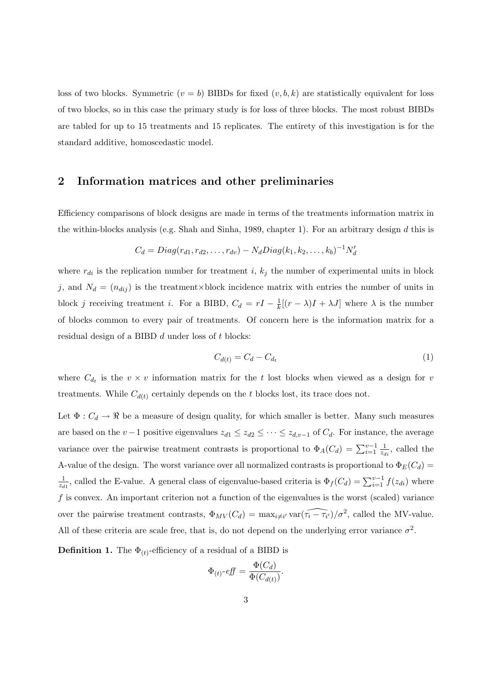loss of two blocks. Symmetric  $(v = b)$  BIBDs for fixed  $(v, b, k)$  are statistically equivalent for loss of two blocks, so in this case the primary study is for loss of three blocks. The most robust BIBDs are tabled for up to 15 treatments and 15 replicates. The entirety of this investigation is for the standard additive, homoscedastic model.

# 2 Information matrices and other preliminaries

Efficiency comparisons of block designs are made in terms of the treatments information matrix in the within-blocks analysis (e.g. Shah and Sinha, 1989, chapter 1). For an arbitrary design  $d$  this is

$$
C_d = Diag(r_{d1}, r_{d2}, \dots, r_{dv}) - N_d Diag(k_1, k_2, \dots, k_b)^{-1} N'_d
$$

where  $r_{di}$  is the replication number for treatment i,  $k_j$  the number of experimental units in block j, and  $N_d = (n_{dij})$  is the treatment×block incidence matrix with entries the number of units in block j receiving treatment i. For a BIBD,  $C_d = rI - \frac{1}{k}$  $\frac{1}{k}[(r - \lambda)I + \lambda J]$  where  $\lambda$  is the number of blocks common to every pair of treatments. Of concern here is the information matrix for a residual design of a BIBD d under loss of t blocks:

$$
C_{d(t)} = C_d - C_{d_t} \tag{1}
$$

where  $C_{d_t}$  is the  $v \times v$  information matrix for the t lost blocks when viewed as a design for v treatments. While  $C_{d(t)}$  certainly depends on the t blocks lost, its trace does not.

Let  $\Phi: C_d \to \mathbb{R}$  be a measure of design quality, for which smaller is better. Many such measures are based on the v −1 positive eigenvalues  $z_{d1} \leq z_{d2} \leq \cdots \leq z_{d,v-1}$  of  $C_d$ . For instance, the average variance over the pairwise treatment contrasts is proportional to  $\Phi_A(C_d) = \sum_{i=1}^{v-1} \frac{1}{z_d}$  $\frac{1}{z_{di}}$ , called the A-value of the design. The worst variance over all normalized contrasts is proportional to  $\Phi_E(C_d)$  = 1  $\frac{1}{z_{d1}}$ , called the E-value. A general class of eigenvalue-based criteria is  $\Phi_f(C_d) = \sum_{i=1}^{v-1} f(z_{di})$  where  $f$  is convex. An important criterion not a function of the eigenvalues is the worst (scaled) variance over the pairwise treatment contrasts,  $\Phi_{MV}(C_d) = \max_{i \neq i'} \text{var}(\widehat{\tau_i - \tau_{i'}})/\sigma^2$ , called the MV-value. All of these criteria are scale free, that is, do not depend on the underlying error variance  $\sigma^2$ .

**Definition 1.** The  $\Phi_{(t)}$ -efficiency of a residual of a BIBD is

$$
\Phi_{(t)} \text{-} eff = \frac{\Phi(C_d)}{\Phi(C_{d(t)})}.
$$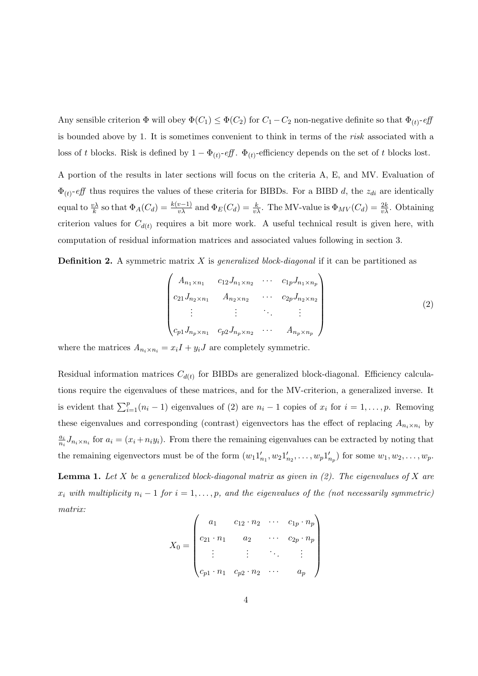Any sensible criterion  $\Phi$  will obey  $\Phi(C_1) \leq \Phi(C_2)$  for  $C_1 - C_2$  non-negative definite so that  $\Phi_{(t)}$ -eff is bounded above by 1. It is sometimes convenient to think in terms of the risk associated with a loss of t blocks. Risk is defined by  $1 - \Phi_{(t)}$ -eff.  $\Phi_{(t)}$ -efficiency depends on the set of t blocks lost.

A portion of the results in later sections will focus on the criteria A, E, and MV. Evaluation of  $\Phi_{(t)}$ -eff thus requires the values of these criteria for BIBDs. For a BIBD d, the  $z_{di}$  are identically equal to  $\frac{v\lambda}{k}$  so that  $\Phi_A(C_d) = \frac{k(v-1)}{v\lambda}$  and  $\Phi_E(C_d) = \frac{k}{v\lambda}$ . The MV-value is  $\Phi_{MV}(C_d) = \frac{2k}{v\lambda}$ . Obtaining criterion values for  $C_{d(t)}$  requires a bit more work. A useful technical result is given here, with computation of residual information matrices and associated values following in section 3.

**Definition 2.** A symmetric matrix X is *generalized block-diagonal* if it can be partitioned as

$$
\begin{pmatrix}\nA_{n_1 \times n_1} & c_{12} J_{n_1 \times n_2} & \cdots & c_{1p} J_{n_1 \times n_p} \\
c_{21} J_{n_2 \times n_1} & A_{n_2 \times n_2} & \cdots & c_{2p} J_{n_2 \times n_2} \\
\vdots & \vdots & \ddots & \vdots \\
c_{p1} J_{n_p \times n_1} & c_{p2} J_{n_p \times n_2} & \cdots & A_{n_p \times n_p}\n\end{pmatrix}
$$
\n(2)

where the matrices  $A_{n_i \times n_i} = x_i I + y_i J$  are completely symmetric.

Residual information matrices  $C_{d(t)}$  for BIBDs are generalized block-diagonal. Efficiency calculations require the eigenvalues of these matrices, and for the MV-criterion, a generalized inverse. It is evident that  $\sum_{i=1}^{p} (n_i - 1)$  eigenvalues of (2) are  $n_i - 1$  copies of  $x_i$  for  $i = 1, ..., p$ . Removing these eigenvalues and corresponding (contrast) eigenvectors has the effect of replacing  $A_{n_i \times n_i}$  by  $a_i$  $\frac{a_i}{n_i} J_{n_i \times n_i}$  for  $a_i = (x_i + n_i y_i)$ . From there the remaining eigenvalues can be extracted by noting that the remaining eigenvectors must be of the form  $(w_1 1'_{n_1}, w_2 1'_{n_2}, \ldots, w_p 1'_{n_p})$  for some  $w_1, w_2, \ldots, w_p$ .

**Lemma 1.** Let X be a generalized block-diagonal matrix as given in  $(2)$ . The eigenvalues of X are  $x_i$  with multiplicity  $n_i - 1$  for  $i = 1, \ldots, p$ , and the eigenvalues of the (not necessarily symmetric) matrix:  $\overline{1}$  $\mathbf{r}$ 

$$
X_0 = \begin{pmatrix} a_1 & c_{12} \cdot n_2 & \cdots & c_{1p} \cdot n_p \\ c_{21} \cdot n_1 & a_2 & \cdots & c_{2p} \cdot n_p \\ \vdots & \vdots & \ddots & \vdots \\ c_{p1} \cdot n_1 & c_{p2} \cdot n_2 & \cdots & a_p \end{pmatrix}
$$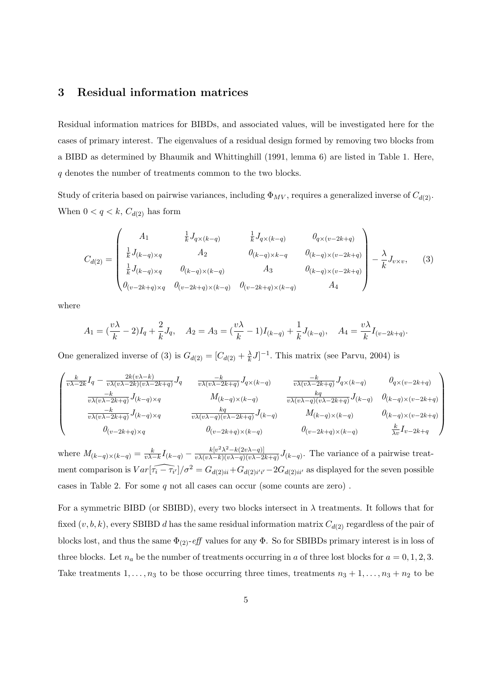## 3 Residual information matrices

Residual information matrices for BIBDs, and associated values, will be investigated here for the cases of primary interest. The eigenvalues of a residual design formed by removing two blocks from a BIBD as determined by Bhaumik and Whittinghill (1991, lemma 6) are listed in Table 1. Here, q denotes the number of treatments common to the two blocks.

Study of criteria based on pairwise variances, including  $\Phi_{MV}$ , requires a generalized inverse of  $C_{d(2)}$ . When  $0 < q < k$ ,  $C_{d(2)}$  has form

$$
C_{d(2)} = \begin{pmatrix} A_1 & \frac{1}{k} J_{q \times (k-q)} & \frac{1}{k} J_{q \times (k-q)} & \theta_{q \times (v-2k+q)} \\ \frac{1}{k} J_{(k-q) \times q} & A_2 & \theta_{(k-q) \times k-q} & \theta_{(k-q) \times (v-2k+q)} \\ \frac{1}{k} J_{(k-q) \times q} & \theta_{(k-q) \times (k-q)} & A_3 & \theta_{(k-q) \times (v-2k+q)} \\ \theta_{(v-2k+q) \times q} & \theta_{(v-2k+q) \times (k-q)} & \theta_{(v-2k+q) \times (k-q)} & A_4 \end{pmatrix} - \frac{\lambda}{k} J_{v \times v}, \quad (3)
$$

where

$$
A_1 = \left(\frac{v\lambda}{k} - 2\right)I_q + \frac{2}{k}J_q, \quad A_2 = A_3 = \left(\frac{v\lambda}{k} - 1\right)I_{(k-q)} + \frac{1}{k}J_{(k-q)}, \quad A_4 = \frac{v\lambda}{k}I_{(v-2k+q)}.
$$

One generalized inverse of (3) is  $G_{d(2)} = [C_{d(2)} + \frac{\lambda}{k}]$  $\frac{\lambda}{k}J]^{-1}$ . This matrix (see Parvu, 2004) is

$$
\begin{pmatrix}\n\frac{k}{v\lambda-2k}I_q - \frac{2k(v\lambda-k)}{v\lambda(v\lambda-2k)(v\lambda-2k+q)}J_q & \frac{-k}{v\lambda(v\lambda-2k+q)}J_{q\times (k-q)} & \frac{-k}{v\lambda(v\lambda-2k+q)}J_{q\times (k-q)} & 0_{q\times (v-2k+q)} \\
\frac{-k}{v\lambda(v\lambda-2k+q)}J_{(k-q)\times q} & M_{(k-q)\times (k-q)} & \frac{kq}{v\lambda(v\lambda-q)(v\lambda-2k+q)}J_{(k-q)} & 0_{(k-q)\times (v-2k+q)} \\
\frac{-k}{v\lambda(v\lambda-2k+q)}J_{(k-q)\times q} & \frac{kq}{v\lambda(v\lambda-q)(v\lambda-2k+q)}J_{(k-q)} & M_{(k-q)\times (k-q)} & 0_{(k-q)\times (v-2k+q)} \\
0_{(v-2k+q)\times q} & 0_{(v-2k+q)\times (k-q)} & 0_{(v-2k+q)\times (k-q)} & \frac{k}{\lambda v}I_{v-2k+q}\n\end{pmatrix}
$$

where  $M_{(k-q)\times(k-q)} = \frac{k}{\nu\lambda}$  $\frac{k}{v\lambda-k}I_{(k-q)} - \frac{k[v^2\lambda^2-k(2v\lambda-q)]}{v\lambda(v\lambda-k)(v\lambda-q)(v\lambda-2)}$  $\frac{k[v^2\lambda^2 - k(2v\lambda - q)]}{v\lambda(v\lambda - k)(v\lambda - q)(v\lambda - 2k + q)} J_{(k-q)}$ . The variance of a pairwise treatment comparison is  $Var[\widehat{\tau_i - \tau_{i'}}]/\sigma^2 = G_{d(2)i} + G_{d(2)i'i'} - 2G_{d(2)i'j'}$  as displayed for the seven possible cases in Table 2. For some q not all cases can occur (some counts are zero) .

For a symmetric BIBD (or SBIBD), every two blocks intersect in  $\lambda$  treatments. It follows that for fixed  $(v, b, k)$ , every SBIBD d has the same residual information matrix  $C_{d(2)}$  regardless of the pair of blocks lost, and thus the same  $\Phi_{(2)}$ -eff values for any  $\Phi$ . So for SBIBDs primary interest is in loss of three blocks. Let  $n_a$  be the number of treatments occurring in a of three lost blocks for  $a = 0, 1, 2, 3$ . Take treatments  $1, \ldots, n_3$  to be those occurring three times, treatments  $n_3 + 1, \ldots, n_3 + n_2$  to be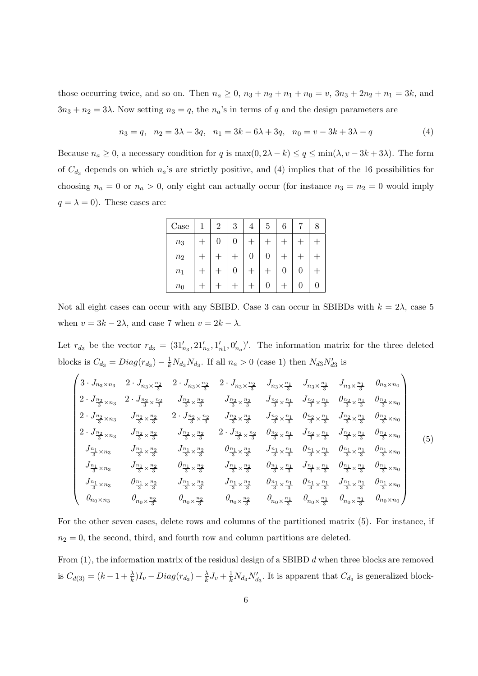those occurring twice, and so on. Then  $n_a \ge 0$ ,  $n_3 + n_2 + n_1 + n_0 = v$ ,  $3n_3 + 2n_2 + n_1 = 3k$ , and  $3n_3 + n_2 = 3\lambda$ . Now setting  $n_3 = q$ , the  $n_a$ 's in terms of q and the design parameters are

$$
n_3 = q, \quad n_2 = 3\lambda - 3q, \quad n_1 = 3k - 6\lambda + 3q, \quad n_0 = v - 3k + 3\lambda - q \tag{4}
$$

Because  $n_a \geq 0$ , a necessary condition for q is  $\max(0, 2\lambda - k) \leq q \leq \min(\lambda, v - 3k + 3\lambda)$ . The form of  $C_{d_3}$  depends on which  $n_a$ 's are strictly positive, and (4) implies that of the 16 possibilities for choosing  $n_a = 0$  or  $n_a > 0$ , only eight can actually occur (for instance  $n_3 = n_2 = 0$  would imply  $q = \lambda = 0$ . These cases are:

| Case             | 2 | 3        |                | 5       |   |  |
|------------------|---|----------|----------------|---------|---|--|
| $\mathfrak{n}_3$ | 0 | 0        |                |         |   |  |
| $\sqrt{n_{2}}$   |   |          | $\overline{0}$ | $\rm 0$ |   |  |
| $n_1$            |   | $\theta$ |                |         | 0 |  |
| $n_0$            |   |          |                | U       |   |  |

Not all eight cases can occur with any SBIBD. Case 3 can occur in SBIBDs with  $k = 2\lambda$ , case 5 when  $v = 3k - 2\lambda$ , and case 7 when  $v = 2k - \lambda$ .

Let  $r_{d_3}$  be the vector  $r_{d_3} = (31'_{n_3}, 21'_{n_2}, 1'_{n_1}, 0'_{n_0})'$ . The information matrix for the three deleted blocks is  $C_{d_3} = Diag(r_{d_3}) - \frac{1}{k}N_{d_3}N_{d_3}$ . If all  $n_a > 0$  (case 1) then  $N_{d3}N'_{d3}$  is  $\overline{1}$  $\mathbf{r}$ 

$$
\begin{pmatrix}\n3 \cdot J_{n_3 \times n_3} & 2 \cdot J_{n_3 \times \frac{n_2}{3}} & 2 \cdot J_{n_3 \times \frac{n_2}{3}} & 2 \cdot J_{n_3 \times \frac{n_2}{3}} & J_{n_3 \times \frac{n_1}{3}} & J_{n_3 \times \frac{n_1}{3}} & J_{n_3 \times \frac{n_1}{3}} & J_{n_3 \times \frac{n_1}{3}} & 0_{n_3 \times n_0} \\
2 \cdot J_{\frac{n_2}{3} \times n_3} & 2 \cdot J_{\frac{n_2}{3} \times \frac{n_2}{3}} & J_{\frac{n_2}{3} \times \frac{n_2}{3}} & J_{\frac{n_2}{3} \times \frac{n_2}{3}} & J_{\frac{n_2}{3} \times \frac{n_1}{3}} & J_{\frac{n_2}{3} \times \frac{n_1}{3}} & J_{\frac{n_2}{3} \times \frac{n_1}{3}} & 0_{\frac{n_2}{3} \times \frac{n_1}{3}} & 0_{\frac{n_2}{3} \times \frac{n_1}{3}} & 0_{\frac{n_2}{3} \times \frac{n_1}{3}} & 0_{\frac{n_2}{3} \times \frac{n_1}{3}} & 0_{\frac{n_2}{3} \times \frac{n_1}{3}} & 0_{\frac{n_2}{3} \times \frac{n_1}{3}} & J_{\frac{n_2}{3} \times \frac{n_1}{3}} & J_{\frac{n_2}{3} \times \frac{n_1}{3}} & J_{\frac{n_2}{3} \times \frac{n_1}{3}} & J_{\frac{n_2}{3} \times \frac{n_1}{3}} & J_{\frac{n_2}{3} \times \frac{n_1}{3}} & J_{\frac{n_2}{3} \times \frac{n_1}{3}} & J_{\frac{n_2}{3} \times \frac{n_1}{3}} & J_{\frac{n_2}{3} \times \frac{n_1}{3}} & J_{\frac{n_2}{3} \times \frac{n_1}{3}} & J_{\frac{n_2}{3} \times \frac{n_1}{3}} & J_{\frac{n_2}{3} \times \frac{n_1}{3}} & J_{\frac{n_2}{3} \times \frac{n_1}{3}} & J_{\frac{n_2}{3} \times \frac{n_1}{3}} & J_{\frac{n_2}{3} \times \frac{n_1}{3}} & J_{\frac{n_2}{3} \times \frac{n_1}{3}} & J_{\frac
$$

For the other seven cases, delete rows and columns of the partitioned matrix (5). For instance, if  $n_2 = 0$ , the second, third, and fourth row and column partitions are deleted.

From  $(1)$ , the information matrix of the residual design of a SBIBD  $d$  when three blocks are removed is  $C_{d(3)} = (k - 1 + \frac{\lambda}{k})I_v - Diag(r_{d_3}) - \frac{\lambda}{k}$  $\frac{\lambda}{k}J_v + \frac{1}{k}N_{d_3}N'_{d_3}$ . It is apparent that  $C_{d_3}$  is generalized block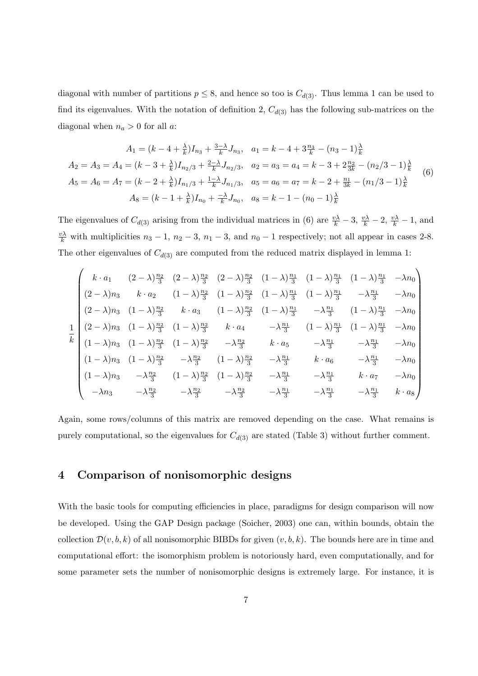diagonal with number of partitions  $p \leq 8$ , and hence so too is  $C_{d(3)}$ . Thus lemma 1 can be used to find its eigenvalues. With the notation of definition 2,  $C_{d(3)}$  has the following sub-matrices on the diagonal when  $n_a > 0$  for all a:

$$
A_1 = (k - 4 + \frac{\lambda}{k})I_{n_3} + \frac{3-\lambda}{k}J_{n_3}, \quad a_1 = k - 4 + 3\frac{n_3}{k} - (n_3 - 1)\frac{\lambda}{k}
$$
  
\n
$$
A_2 = A_3 = A_4 = (k - 3 + \frac{\lambda}{k})I_{n_2/3} + \frac{2-\lambda}{k}J_{n_2/3}, \quad a_2 = a_3 = a_4 = k - 3 + 2\frac{n_2}{3k} - (n_2/3 - 1)\frac{\lambda}{k}
$$
  
\n
$$
A_5 = A_6 = A_7 = (k - 2 + \frac{\lambda}{k})I_{n_1/3} + \frac{1-\lambda}{k}J_{n_1/3}, \quad a_5 = a_6 = a_7 = k - 2 + \frac{n_1}{3k} - (n_1/3 - 1)\frac{\lambda}{k}
$$
  
\n
$$
A_8 = (k - 1 + \frac{\lambda}{k})I_{n_0} + \frac{-\lambda}{k}J_{n_0}, \quad a_8 = k - 1 - (n_0 - 1)\frac{\lambda}{k}
$$
 (6)

The eigenvalues of  $C_{d(3)}$  arising from the individual matrices in (6) are  $\frac{v\lambda}{k} - 3$ ,  $\frac{v\lambda}{k} - 2$ ,  $\frac{v\lambda}{k} - 1$ , and  $\frac{v\lambda}{k}$  with multiplicities  $n_3 - 1$ ,  $n_2 - 3$ ,  $n_1 - 3$ , and  $n_0 - 1$  respectively; not all appear in cases 2-8. The other eigenvalues of  $C_{d(3)}$  are computed from the reduced matrix displayed in lemma 1:

$$
\begin{pmatrix}\nk \cdot a_1 & (2-\lambda)\frac{n_2}{3} & (2-\lambda)\frac{n_2}{3} & (2-\lambda)\frac{n_2}{3} & (1-\lambda)\frac{n_1}{3} & (1-\lambda)\frac{n_1}{3} & (1-\lambda)\frac{n_1}{3} & -\lambda n_0 \\
(2-\lambda)n_3 & k \cdot a_2 & (1-\lambda)\frac{n_2}{3} & (1-\lambda)\frac{n_2}{3} & (1-\lambda)\frac{n_1}{3} & (1-\lambda)\frac{n_1}{3} & -\lambda\frac{n_1}{3} & -\lambda n_0 \\
(2-\lambda)n_3 & (1-\lambda)\frac{n_2}{3} & k \cdot a_3 & (1-\lambda)\frac{n_2}{3} & (1-\lambda)\frac{n_1}{3} & -\lambda\frac{n_1}{3} & (1-\lambda)\frac{n_1}{3} & -\lambda n_0 \\
(2-\lambda)n_3 & (1-\lambda)\frac{n_2}{3} & (1-\lambda)\frac{n_2}{3} & k \cdot a_4 & -\lambda\frac{n_1}{3} & (1-\lambda)\frac{n_1}{3} & (1-\lambda)\frac{n_1}{3} & -\lambda n_0 \\
(1-\lambda)n_3 & (1-\lambda)\frac{n_2}{3} & (1-\lambda)\frac{n_2}{3} & -\lambda\frac{n_2}{3} & k \cdot a_5 & -\lambda\frac{n_1}{3} & -\lambda\frac{n_1}{3} & -\lambda n_0 \\
(1-\lambda)n_3 & (1-\lambda)\frac{n_2}{3} & -\lambda\frac{n_2}{3} & (1-\lambda)\frac{n_2}{3} & -\lambda\frac{n_1}{3} & k \cdot a_6 & -\lambda\frac{n_1}{3} & -\lambda n_0 \\
(1-\lambda)n_3 & -\lambda\frac{n_2}{3} & (1-\lambda)\frac{n_2}{3} & (1-\lambda)\frac{n_2}{3} & -\lambda\frac{n_1}{3} & -\lambda\frac{n_1}{3} & k \cdot a_7 & -\lambda n_0 \\
-\lambda n_3 & -\lambda\frac{n_2}{3} & -\lambda\frac{n_2}{3} & -\lambda\frac{n_2}{3} & -\lambda\frac{n_2}{3} & -\lambda\frac{n_1}{3} & -\lambda\frac{n_1}{3} & -\lambda\frac{n_1}{3} & k \cdot a_8\n\end{pmatrix}
$$

Again, some rows/columns of this matrix are removed depending on the case. What remains is purely computational, so the eigenvalues for  $C_{d(3)}$  are stated (Table 3) without further comment.

### 4 Comparison of nonisomorphic designs

With the basic tools for computing efficiencies in place, paradigms for design comparison will now be developed. Using the GAP Design package (Soicher, 2003) one can, within bounds, obtain the collection  $\mathcal{D}(v, b, k)$  of all nonisomorphic BIBDs for given  $(v, b, k)$ . The bounds here are in time and computational effort: the isomorphism problem is notoriously hard, even computationally, and for some parameter sets the number of nonisomorphic designs is extremely large. For instance, it is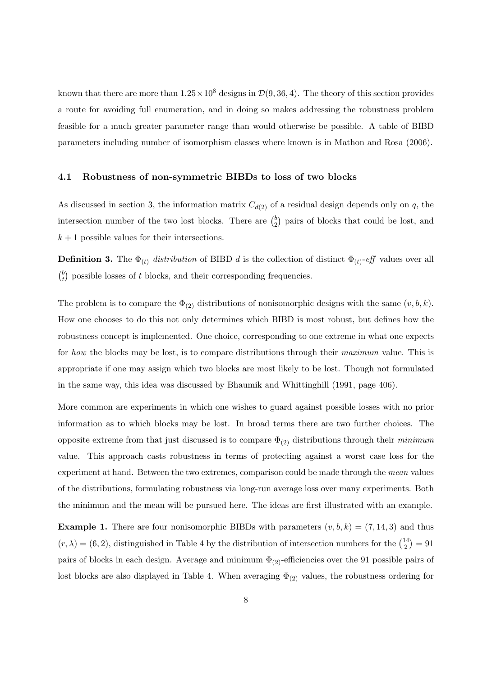known that there are more than  $1.25 \times 10^8$  designs in  $\mathcal{D}(9, 36, 4)$ . The theory of this section provides a route for avoiding full enumeration, and in doing so makes addressing the robustness problem feasible for a much greater parameter range than would otherwise be possible. A table of BIBD parameters including number of isomorphism classes where known is in Mathon and Rosa (2006).

#### 4.1 Robustness of non-symmetric BIBDs to loss of two blocks

As discussed in section 3, the information matrix  $C_{d(2)}$  of a residual design depends only on q, the intersection number of the two lost blocks. There are  $\binom{b}{2}$ 2 ¢ pairs of blocks that could be lost, and  $k + 1$  possible values for their intersections.

**Definition 3.** The  $\Phi_{(t)}$  *distribution* of BIBD *d* is the collection of distinct  $\Phi_{(t)}$ -eff values over all  $\sqrt{b}$ t ¢ possible losses of t blocks, and their corresponding frequencies.

The problem is to compare the  $\Phi_{(2)}$  distributions of nonisomorphic designs with the same  $(v, b, k)$ . How one chooses to do this not only determines which BIBD is most robust, but defines how the robustness concept is implemented. One choice, corresponding to one extreme in what one expects for how the blocks may be lost, is to compare distributions through their maximum value. This is appropriate if one may assign which two blocks are most likely to be lost. Though not formulated in the same way, this idea was discussed by Bhaumik and Whittinghill (1991, page 406).

More common are experiments in which one wishes to guard against possible losses with no prior information as to which blocks may be lost. In broad terms there are two further choices. The opposite extreme from that just discussed is to compare  $\Phi_{(2)}$  distributions through their minimum value. This approach casts robustness in terms of protecting against a worst case loss for the experiment at hand. Between the two extremes, comparison could be made through the mean values of the distributions, formulating robustness via long-run average loss over many experiments. Both the minimum and the mean will be pursued here. The ideas are first illustrated with an example.

**Example 1.** There are four nonisomorphic BIBDs with parameters  $(v, b, k) = (7, 14, 3)$  and thus  $(r, \lambda) = (6, 2)$ , distinguished in Table 4 by the distribution of intersection numbers for the  $\binom{14}{2}$ 2 ¢  $= 91$ pairs of blocks in each design. Average and minimum  $\Phi_{(2)}$ -efficiencies over the 91 possible pairs of lost blocks are also displayed in Table 4. When averaging  $\Phi_{(2)}$  values, the robustness ordering for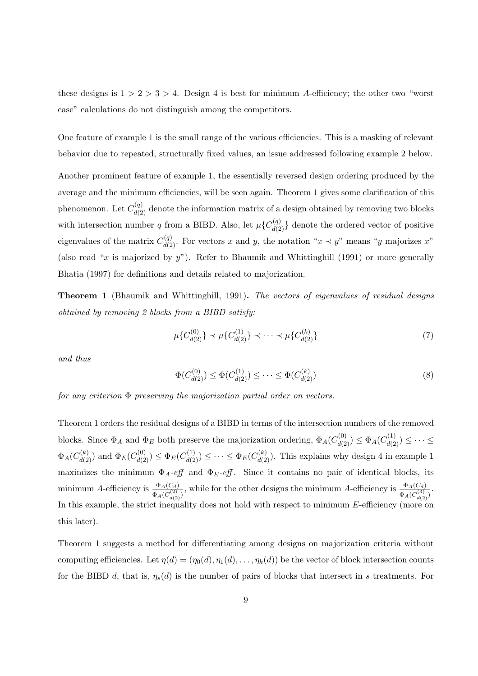these designs is  $1 > 2 > 3 > 4$ . Design 4 is best for minimum A-efficiency; the other two "worst" case" calculations do not distinguish among the competitors.

One feature of example 1 is the small range of the various efficiencies. This is a masking of relevant behavior due to repeated, structurally fixed values, an issue addressed following example 2 below.

Another prominent feature of example 1, the essentially reversed design ordering produced by the average and the minimum efficiencies, will be seen again. Theorem 1 gives some clarification of this phenomenon. Let  $C_{d(2)}^{(q)}$  denote the information matrix of a design obtained by removing two blocks with intersection number q from a BIBD. Also, let  $\mu{C_{d(2)}^{(q)}}$  denote the ordered vector of positive eigenvalues of the matrix  $C_{d(2)}^{(q)}$ . For vectors x and y, the notation " $x \prec y$ " means "y majorizes x" (also read "x is majorized by  $y$ "). Refer to Bhaumik and Whittinghill (1991) or more generally Bhatia (1997) for definitions and details related to majorization.

Theorem 1 (Bhaumik and Whittinghill, 1991). The vectors of eigenvalues of residual designs obtained by removing 2 blocks from a BIBD satisfy:

$$
\mu\{C_{d(2)}^{(0)}\} \prec \mu\{C_{d(2)}^{(1)}\} \prec \cdots \prec \mu\{C_{d(2)}^{(k)}\}\tag{7}
$$

and thus

$$
\Phi(C_{d(2)}^{(0)}) \le \Phi(C_{d(2)}^{(1)}) \le \dots \le \Phi(C_{d(2)}^{(k)})
$$
\n(8)

for any criterion  $\Phi$  preserving the majorization partial order on vectors.

Theorem 1 orders the residual designs of a BIBD in terms of the intersection numbers of the removed blocks. Since  $\Phi_A$  and  $\Phi_E$  both preserve the majorization ordering,  $\Phi_A(C_{d(2)}^{(0)}) \leq \Phi_A(C_{d(2)}^{(1)}) \leq \cdots \leq$  $\Phi_A(C_{d(2)}^{(k)})$  and  $\Phi_E(C_{d(2)}^{(0)}) \leq \Phi_E(C_{d(2)}^{(1)}) \leq \cdots \leq \Phi_E(C_{d(2)}^{(k)})$ . This explains why design 4 in example 1 maximizes the minimum  $\Phi_A$ -eff and  $\Phi_E$ -eff. Since it contains no pair of identical blocks, its minimum A-efficiency is  $\frac{\Phi_A(C_d)}{\Phi_A(C_{d(2)}^{(2)})}$ , while for the other designs the minimum A-efficiency is  $\frac{\Phi_A(C_d)}{\Phi_A(C_{d(2)}^{(3)})}$ . In this example, the strict inequality does not hold with respect to minimum E-efficiency (more on this later).

Theorem 1 suggests a method for differentiating among designs on majorization criteria without computing efficiencies. Let  $\eta(d) = (\eta_0(d), \eta_1(d), \dots, \eta_k(d))$  be the vector of block intersection counts for the BIBD d, that is,  $\eta_s(d)$  is the number of pairs of blocks that intersect in s treatments. For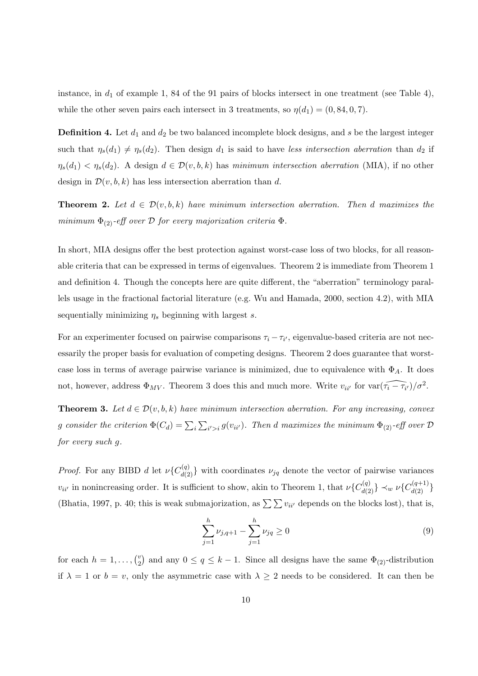instance, in  $d_1$  of example 1, 84 of the 91 pairs of blocks intersect in one treatment (see Table 4), while the other seven pairs each intersect in 3 treatments, so  $\eta(d_1) = (0, 84, 0, 7)$ .

**Definition 4.** Let  $d_1$  and  $d_2$  be two balanced incomplete block designs, and s be the largest integer such that  $\eta_s(d_1) \neq \eta_s(d_2)$ . Then design  $d_1$  is said to have less intersection aberration than  $d_2$  if  $\eta_s(d_1) < \eta_s(d_2)$ . A design  $d \in \mathcal{D}(v, b, k)$  has minimum intersection aberration (MIA), if no other design in  $\mathcal{D}(v, b, k)$  has less intersection aberration than d.

**Theorem 2.** Let  $d \in \mathcal{D}(v, b, k)$  have minimum intersection aberration. Then d maximizes the minimum  $\Phi_{(2)}$ -eff over D for every majorization criteria  $\Phi$ .

In short, MIA designs offer the best protection against worst-case loss of two blocks, for all reasonable criteria that can be expressed in terms of eigenvalues. Theorem 2 is immediate from Theorem 1 and definition 4. Though the concepts here are quite different, the "aberration" terminology parallels usage in the fractional factorial literature (e.g. Wu and Hamada, 2000, section 4.2), with MIA sequentially minimizing  $\eta_s$  beginning with largest s.

For an experimenter focused on pairwise comparisons  $\tau_i - \tau_{i'}$ , eigenvalue-based criteria are not necessarily the proper basis for evaluation of competing designs. Theorem 2 does guarantee that worstcase loss in terms of average pairwise variance is minimized, due to equivalence with  $\Phi_A$ . It does not, however, address  $\Phi_{MV}$ . Theorem 3 does this and much more. Write  $v_{ii'}$  for  $\text{var}(\widehat{\tau_i - \tau_{i'}})/\sigma^2$ .

**Theorem 3.** Let  $d \in \mathcal{D}(v, b, k)$  have minimum intersection aberration. For any increasing, convex g consider the criterion  $\Phi(C_d) = \sum_i$  $\overline{ }$  $\mathcal{E}_{i' > i}\, g(v_{ii'})$ . Then d maximizes the minimum  $\Phi_{(2)}$ -eff over  $\mathcal D$ for every such g.

*Proof.* For any BIBD d let  $\nu$ { $C_{d(2)}^{(q)}$ } with coordinates  $\nu_{jq}$  denote the vector of pairwise variances  $v_{ii'}$  in nonincreasing order. It is sufficient to show, akin to Theorem 1, that  $\nu\{C_{d(2)}^{(q)}\}\prec_w\nu\{C_{d(2)}^{(q+1)}\}$ (Bhatia, 1997, p. 40; this is weak submajorization, as  $\sum \sum v_{ii'}$  depends on the blocks lost), that is,

$$
\sum_{j=1}^{h} \nu_{j,q+1} - \sum_{j=1}^{h} \nu_{jq} \ge 0
$$
\n(9)

for each  $h = 1, \ldots, \binom{v}{2}$ 2 ¢ and any  $0 \le q \le k-1$ . Since all designs have the same  $\Phi_{(2)}$ -distribution if  $\lambda = 1$  or  $b = v$ , only the asymmetric case with  $\lambda \geq 2$  needs to be considered. It can then be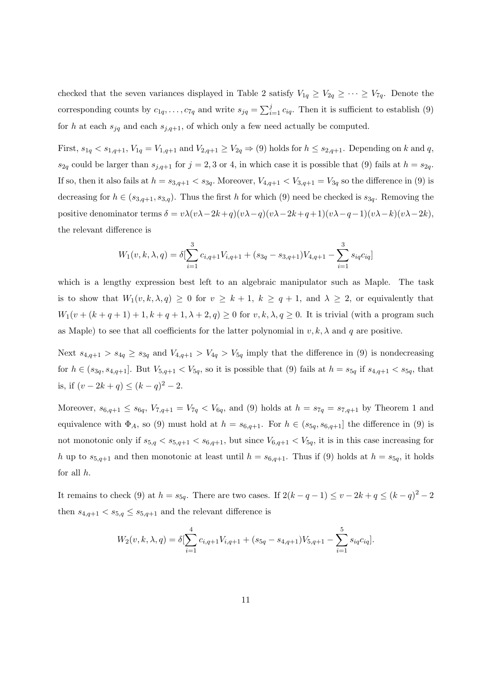checked that the seven variances displayed in Table 2 satisfy  $V_{1q} \geq V_{2q} \geq \cdots \geq V_{7q}$ . Denote the corresponding counts by  $c_{1q}, \ldots, c_{7q}$  and write  $s_{jq} = \sum_{i=1}^{j}$  $\sum_{i=1}^{j} c_{iq}$ . Then it is sufficient to establish (9) for h at each  $s_{jq}$  and each  $s_{j,q+1}$ , of which only a few need actually be computed.

First,  $s_{1q} < s_{1,q+1}$ ,  $V_{1q} = V_{1,q+1}$  and  $V_{2,q+1} \ge V_{2q} \Rightarrow (9)$  holds for  $h \le s_{2,q+1}$ . Depending on k and q,  $s_{2q}$  could be larger than  $s_{j,q+1}$  for  $j = 2, 3$  or 4, in which case it is possible that (9) fails at  $h = s_{2q}$ . If so, then it also fails at  $h = s_{3,q+1} < s_{3q}$ . Moreover,  $V_{4,q+1} < V_{3,q+1} = V_{3q}$  so the difference in (9) is decreasing for  $h \in (s_{3,q+1}, s_{3,q})$ . Thus the first h for which (9) need be checked is  $s_{3q}$ . Removing the positive denominator terms  $\delta = v\lambda(v\lambda-2k+q)(v\lambda-q)(v\lambda-2k+q+1)(v\lambda-q-1)(v\lambda-k)(v\lambda-2k),$ the relevant difference is

$$
W_1(v,k,\lambda,q) = \delta[\sum_{i=1}^3 c_{i,q+1}V_{i,q+1} + (s_{3q} - s_{3,q+1})V_{4,q+1} - \sum_{i=1}^3 s_{iq}c_{iq}]
$$

which is a lengthy expression best left to an algebraic manipulator such as Maple. The task is to show that  $W_1(v, k, \lambda, q) \geq 0$  for  $v \geq k+1$ ,  $k \geq q+1$ , and  $\lambda \geq 2$ , or equivalently that  $W_1(v + (k+q+1) + 1, k+q+1, \lambda+2, q) \geq 0$  for  $v, k, \lambda, q \geq 0$ . It is trivial (with a program such as Maple) to see that all coefficients for the latter polynomial in  $v, k, \lambda$  and q are positive.

Next  $s_{4,q+1} > s_{4q} \geq s_{3q}$  and  $V_{4,q+1} > V_{4q} > V_{5q}$  imply that the difference in (9) is nondecreasing for  $h \in (s_{3q}, s_{4,q+1}]$ . But  $V_{5,q+1} < V_{5q}$ , so it is possible that (9) fails at  $h = s_{5q}$  if  $s_{4,q+1} < s_{5q}$ , that is, if  $(v - 2k + q) \le (k - q)^2 - 2$ .

Moreover,  $s_{6,q+1} \le s_{6q}$ ,  $V_{7,q+1} = V_{7q} < V_{6q}$ , and (9) holds at  $h = s_{7q} = s_{7,q+1}$  by Theorem 1 and equivalence with  $\Phi_A$ , so (9) must hold at  $h = s_{6,q+1}$ . For  $h \in (s_{5q}, s_{6,q+1}]$  the difference in (9) is not monotonic only if  $s_{5,q} < s_{5,q+1} < s_{6,q+1}$ , but since  $V_{6,q+1} < V_{5q}$ , it is in this case increasing for h up to  $s_{5,q+1}$  and then monotonic at least until  $h = s_{6,q+1}$ . Thus if (9) holds at  $h = s_{5q}$ , it holds for all h.

It remains to check (9) at  $h = s_{5q}$ . There are two cases. If  $2(k - q - 1) \leq v - 2k + q \leq (k - q)^2 - 2$ then  $s_{4,q+1} < s_{5,q} \leq s_{5,q+1}$  and the relevant difference is

$$
W_2(v,k,\lambda,q) = \delta \left[\sum_{i=1}^4 c_{i,q+1} V_{i,q+1} + (s_{5q} - s_{4,q+1}) V_{5,q+1} - \sum_{i=1}^5 s_{iq} c_{iq}\right].
$$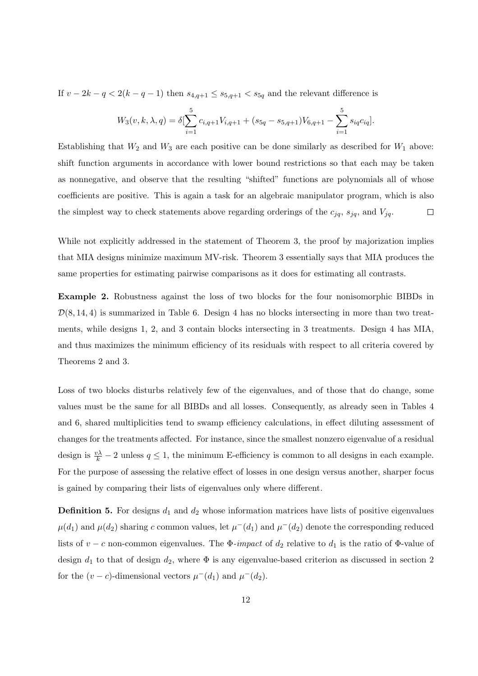If  $v - 2k - q < 2(k - q - 1)$  then  $s_{4,q+1} \leq s_{5,q+1} < s_{5q}$  and the relevant difference is

$$
W_3(v, k, \lambda, q) = \delta \left[ \sum_{i=1}^5 c_{i,q+1} V_{i,q+1} + (s_{5q} - s_{5,q+1}) V_{6,q+1} - \sum_{i=1}^5 s_{iq} c_{iq} \right].
$$

Establishing that  $W_2$  and  $W_3$  are each positive can be done similarly as described for  $W_1$  above: shift function arguments in accordance with lower bound restrictions so that each may be taken as nonnegative, and observe that the resulting "shifted" functions are polynomials all of whose coefficients are positive. This is again a task for an algebraic manipulator program, which is also the simplest way to check statements above regarding orderings of the  $c_{jq}$ ,  $s_{jq}$ , and  $V_{jq}$ .  $\Box$ 

While not explicitly addressed in the statement of Theorem 3, the proof by majorization implies that MIA designs minimize maximum MV-risk. Theorem 3 essentially says that MIA produces the same properties for estimating pairwise comparisons as it does for estimating all contrasts.

Example 2. Robustness against the loss of two blocks for the four nonisomorphic BIBDs in  $\mathcal{D}(8, 14, 4)$  is summarized in Table 6. Design 4 has no blocks intersecting in more than two treatments, while designs 1, 2, and 3 contain blocks intersecting in 3 treatments. Design 4 has MIA, and thus maximizes the minimum efficiency of its residuals with respect to all criteria covered by Theorems 2 and 3.

Loss of two blocks disturbs relatively few of the eigenvalues, and of those that do change, some values must be the same for all BIBDs and all losses. Consequently, as already seen in Tables 4 and 6, shared multiplicities tend to swamp efficiency calculations, in effect diluting assessment of changes for the treatments affected. For instance, since the smallest nonzero eigenvalue of a residual design is  $\frac{v\lambda}{k} - 2$  unless  $q \leq 1$ , the minimum E-efficiency is common to all designs in each example. For the purpose of assessing the relative effect of losses in one design versus another, sharper focus is gained by comparing their lists of eigenvalues only where different.

**Definition 5.** For designs  $d_1$  and  $d_2$  whose information matrices have lists of positive eigenvalues  $\mu(d_1)$  and  $\mu(d_2)$  sharing c common values, let  $\mu^-(d_1)$  and  $\mu^-(d_2)$  denote the corresponding reduced lists of v – c non-common eigenvalues. The  $\Phi$ -impact of  $d_2$  relative to  $d_1$  is the ratio of  $\Phi$ -value of design  $d_1$  to that of design  $d_2$ , where  $\Phi$  is any eigenvalue-based criterion as discussed in section 2 for the  $(v - c)$ -dimensional vectors  $\mu^-(d_1)$  and  $\mu^-(d_2)$ .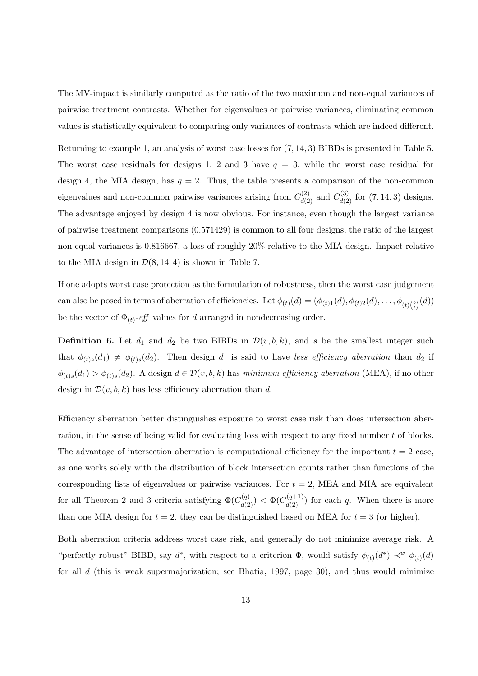The MV-impact is similarly computed as the ratio of the two maximum and non-equal variances of pairwise treatment contrasts. Whether for eigenvalues or pairwise variances, eliminating common values is statistically equivalent to comparing only variances of contrasts which are indeed different.

Returning to example 1, an analysis of worst case losses for (7, 14, 3) BIBDs is presented in Table 5. The worst case residuals for designs 1, 2 and 3 have  $q = 3$ , while the worst case residual for design 4, the MIA design, has  $q = 2$ . Thus, the table presents a comparison of the non-common eigenvalues and non-common pairwise variances arising from  $C_{d(2)}^{(2)}$  and  $C_{d(2)}^{(3)}$  for  $(7, 14, 3)$  designs. The advantage enjoyed by design 4 is now obvious. For instance, even though the largest variance of pairwise treatment comparisons (0.571429) is common to all four designs, the ratio of the largest non-equal variances is 0.816667, a loss of roughly 20% relative to the MIA design. Impact relative to the MIA design in  $\mathcal{D}(8, 14, 4)$  is shown in Table 7.

If one adopts worst case protection as the formulation of robustness, then the worst case judgement can also be posed in terms of aberration of efficiencies. Let  $\phi_{(t)}(d) = (\phi_{(t)1}(d), \phi_{(t)2}(d), \dots, \phi_{(t)\binom{b}{t}}(d))$ be the vector of  $\Phi_{(t)}$ -eff values for d arranged in nondecreasing order.

**Definition 6.** Let  $d_1$  and  $d_2$  be two BIBDs in  $\mathcal{D}(v, b, k)$ , and s be the smallest integer such that  $\phi_{(t)s}(d_1) \neq \phi_{(t)s}(d_2)$ . Then design  $d_1$  is said to have less efficiency aberration than  $d_2$  if  $\phi_{(t)s}(d_1) > \phi_{(t)s}(d_2)$ . A design  $d \in \mathcal{D}(v, b, k)$  has minimum efficiency aberration (MEA), if no other design in  $\mathcal{D}(v, b, k)$  has less efficiency aberration than d.

Efficiency aberration better distinguishes exposure to worst case risk than does intersection aberration, in the sense of being valid for evaluating loss with respect to any fixed number t of blocks. The advantage of intersection aberration is computational efficiency for the important  $t = 2$  case, as one works solely with the distribution of block intersection counts rather than functions of the corresponding lists of eigenvalues or pairwise variances. For  $t = 2$ , MEA and MIA are equivalent for all Theorem 2 and 3 criteria satisfying  $\Phi(C_{d(2)}^{(q)}) < \Phi(C_{d(2)}^{(q+1)})$  for each q. When there is more than one MIA design for  $t = 2$ , they can be distinguished based on MEA for  $t = 3$  (or higher).

Both aberration criteria address worst case risk, and generally do not minimize average risk. A "perfectly robust" BIBD, say  $d^*$ , with respect to a criterion  $\Phi$ , would satisfy  $\phi_{(t)}(d^*) \prec^w \phi_{(t)}(d)$ for all  $d$  (this is weak supermajorization; see Bhatia, 1997, page 30), and thus would minimize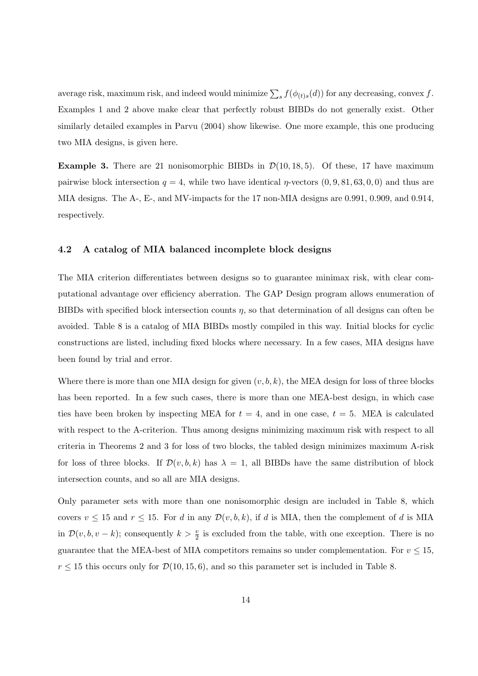average risk, maximum risk, and indeed would minimize  $\sum_s f(\phi_{(t)s}(d))$  for any decreasing, convex f. Examples 1 and 2 above make clear that perfectly robust BIBDs do not generally exist. Other similarly detailed examples in Parvu (2004) show likewise. One more example, this one producing two MIA designs, is given here.

**Example 3.** There are 21 nonisomorphic BIBDs in  $\mathcal{D}(10, 18, 5)$ . Of these, 17 have maximum pairwise block intersection  $q = 4$ , while two have identical  $\eta$ -vectors  $(0, 9, 81, 63, 0, 0)$  and thus are MIA designs. The A-, E-, and MV-impacts for the 17 non-MIA designs are 0.991, 0.909, and 0.914, respectively.

#### 4.2 A catalog of MIA balanced incomplete block designs

The MIA criterion differentiates between designs so to guarantee minimax risk, with clear computational advantage over efficiency aberration. The GAP Design program allows enumeration of BIBDs with specified block intersection counts  $\eta$ , so that determination of all designs can often be avoided. Table 8 is a catalog of MIA BIBDs mostly compiled in this way. Initial blocks for cyclic constructions are listed, including fixed blocks where necessary. In a few cases, MIA designs have been found by trial and error.

Where there is more than one MIA design for given  $(v, b, k)$ , the MEA design for loss of three blocks has been reported. In a few such cases, there is more than one MEA-best design, in which case ties have been broken by inspecting MEA for  $t = 4$ , and in one case,  $t = 5$ . MEA is calculated with respect to the A-criterion. Thus among designs minimizing maximum risk with respect to all criteria in Theorems 2 and 3 for loss of two blocks, the tabled design minimizes maximum A-risk for loss of three blocks. If  $\mathcal{D}(v, b, k)$  has  $\lambda = 1$ , all BIBDs have the same distribution of block intersection counts, and so all are MIA designs.

Only parameter sets with more than one nonisomorphic design are included in Table 8, which covers  $v \le 15$  and  $r \le 15$ . For d in any  $\mathcal{D}(v, b, k)$ , if d is MIA, then the complement of d is MIA in  $\mathcal{D}(v, b, v - k)$ ; consequently  $k > \frac{v}{2}$  is excluded from the table, with one exception. There is no guarantee that the MEA-best of MIA competitors remains so under complementation. For  $v \leq 15$ ,  $r \le 15$  this occurs only for  $\mathcal{D}(10, 15, 6)$ , and so this parameter set is included in Table 8.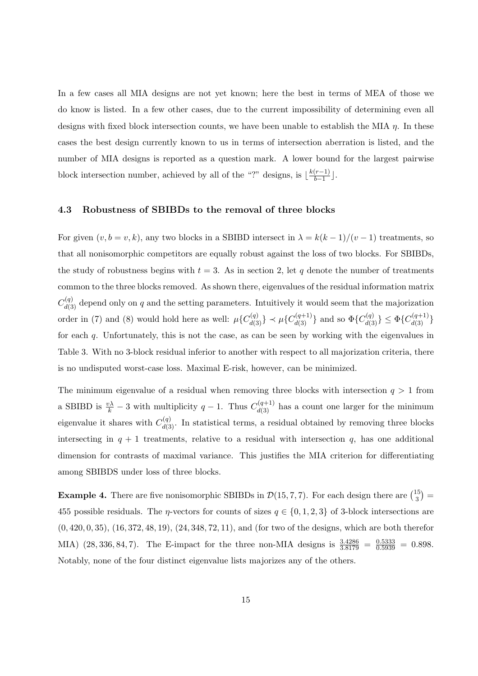In a few cases all MIA designs are not yet known; here the best in terms of MEA of those we do know is listed. In a few other cases, due to the current impossibility of determining even all designs with fixed block intersection counts, we have been unable to establish the MIA  $\eta$ . In these cases the best design currently known to us in terms of intersection aberration is listed, and the number of MIA designs is reported as a question mark. A lower bound for the largest pairwise block intersection number, achieved by all of the "?" designs, is  $\frac{k(r-1)}{b-1}$  $\frac{(r-1)}{b-1}$ .

#### 4.3 Robustness of SBIBDs to the removal of three blocks

For given  $(v, b = v, k)$ , any two blocks in a SBIBD intersect in  $\lambda = k(k-1)/(v-1)$  treatments, so that all nonisomorphic competitors are equally robust against the loss of two blocks. For SBIBDs, the study of robustness begins with  $t = 3$ . As in section 2, let q denote the number of treatments common to the three blocks removed. As shown there, eigenvalues of the residual information matrix  $C_{d(3)}^{(q)}$  depend only on q and the setting parameters. Intuitively it would seem that the majorization order in (7) and (8) would hold here as well:  $\mu\{C_{d(3)}^{(q)}\} \prec \mu\{C_{d(3)}^{(q+1)}\}$  and so  $\Phi\{C_{d(3)}^{(q)}\} \leq \Phi\{C_{d(3)}^{(q+1)}\}$ for each q. Unfortunately, this is not the case, as can be seen by working with the eigenvalues in Table 3. With no 3-block residual inferior to another with respect to all majorization criteria, there is no undisputed worst-case loss. Maximal E-risk, however, can be minimized.

The minimum eigenvalue of a residual when removing three blocks with intersection  $q > 1$  from a SBIBD is  $\frac{v\lambda}{k} - 3$  with multiplicity  $q - 1$ . Thus  $C_{d(3)}^{(q+1)}$  has a count one larger for the minimum eigenvalue it shares with  $C_{d(3)}^{(q)}$ . In statistical terms, a residual obtained by removing three blocks intersecting in  $q + 1$  treatments, relative to a residual with intersection q, has one additional dimension for contrasts of maximal variance. This justifies the MIA criterion for differentiating among SBIBDS under loss of three blocks.

**Example 4.** There are five nonisomorphic SBIBDs in  $\mathcal{D}(15, 7, 7)$ . For each design there are  $\binom{15}{3}$ 3 ¢ = 455 possible residuals. The  $\eta$ -vectors for counts of sizes  $q \in \{0, 1, 2, 3\}$  of 3-block intersections are (0, 420, 0, 35), (16, 372, 48, 19), (24, 348, 72, 11), and (for two of the designs, which are both therefor MIA)  $(28, 336, 84, 7)$ . The E-impact for the three non-MIA designs is  $\frac{3.4286}{3.8179} = \frac{0.5333}{0.5939} = 0.898$ . Notably, none of the four distinct eigenvalue lists majorizes any of the others.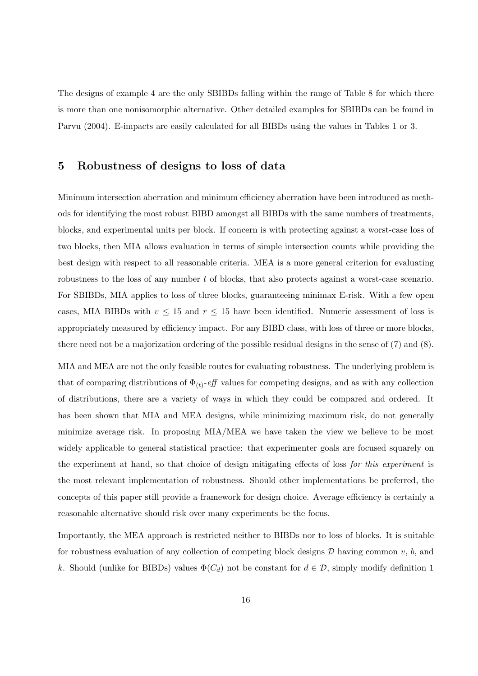The designs of example 4 are the only SBIBDs falling within the range of Table 8 for which there is more than one nonisomorphic alternative. Other detailed examples for SBIBDs can be found in Parvu (2004). E-impacts are easily calculated for all BIBDs using the values in Tables 1 or 3.

### 5 Robustness of designs to loss of data

Minimum intersection aberration and minimum efficiency aberration have been introduced as methods for identifying the most robust BIBD amongst all BIBDs with the same numbers of treatments, blocks, and experimental units per block. If concern is with protecting against a worst-case loss of two blocks, then MIA allows evaluation in terms of simple intersection counts while providing the best design with respect to all reasonable criteria. MEA is a more general criterion for evaluating robustness to the loss of any number t of blocks, that also protects against a worst-case scenario. For SBIBDs, MIA applies to loss of three blocks, guaranteeing minimax E-risk. With a few open cases, MIA BIBDs with  $v \le 15$  and  $r \le 15$  have been identified. Numeric assessment of loss is appropriately measured by efficiency impact. For any BIBD class, with loss of three or more blocks, there need not be a majorization ordering of the possible residual designs in the sense of (7) and (8).

MIA and MEA are not the only feasible routes for evaluating robustness. The underlying problem is that of comparing distributions of  $\Phi_{(t)}$ -eff values for competing designs, and as with any collection of distributions, there are a variety of ways in which they could be compared and ordered. It has been shown that MIA and MEA designs, while minimizing maximum risk, do not generally minimize average risk. In proposing MIA/MEA we have taken the view we believe to be most widely applicable to general statistical practice: that experimenter goals are focused squarely on the experiment at hand, so that choice of design mitigating effects of loss for this experiment is the most relevant implementation of robustness. Should other implementations be preferred, the concepts of this paper still provide a framework for design choice. Average efficiency is certainly a reasonable alternative should risk over many experiments be the focus.

Importantly, the MEA approach is restricted neither to BIBDs nor to loss of blocks. It is suitable for robustness evaluation of any collection of competing block designs  $D$  having common  $v, b$ , and k. Should (unlike for BIBDs) values  $\Phi(C_d)$  not be constant for  $d \in \mathcal{D}$ , simply modify definition 1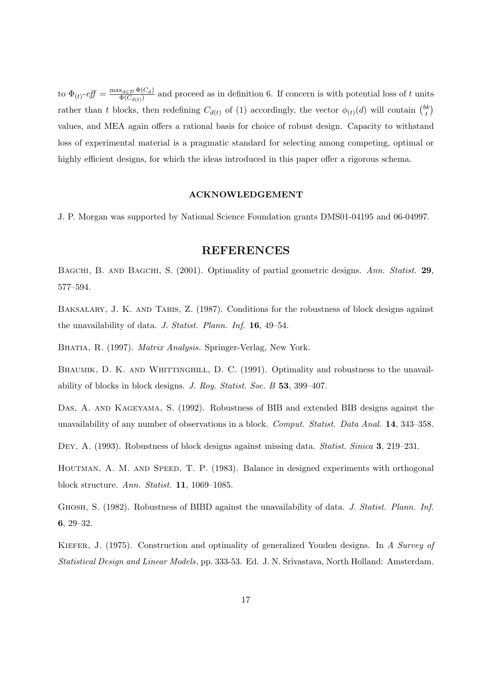to  $\Phi_{(t)}$ - $eff = \frac{\max_{d \in \mathcal{D}} \Phi(C_d)}{\Phi(C_{d(t)})}$  $\frac{d_{\mathcal{A}} \in \mathcal{D}}{\Phi(C_{d(t)})}$  and proceed as in definition 6. If concern is with potential loss of t units rather than t blocks, then redefining  $C_{d(t)}$  of (1) accordingly, the vector  $\phi_{(t)}(d)$  will contain  $\binom{bk}{t}$ t ¢ values, and MEA again offers a rational basis for choice of robust design. Capacity to withstand loss of experimental material is a pragmatic standard for selecting among competing, optimal or highly efficient designs, for which the ideas introduced in this paper offer a rigorous schema.

#### ACKNOWLEDGEMENT

J. P. Morgan was supported by National Science Foundation grants DMS01-04195 and 06-04997.

### REFERENCES

BAGCHI, B. AND BAGCHI, S. (2001). Optimality of partial geometric designs. Ann. Statist. 29, 577–594.

BAKSALARY, J. K. AND TABIS, Z. (1987). Conditions for the robustness of block designs against the unavailability of data. J. Statist. Plann. Inf. 16, 49–54.

BHATIA, R. (1997). *Matrix Analysis*. Springer-Verlag, New York.

BHAUMIK, D. K. AND WHITTINGHILL, D. C. (1991). Optimality and robustness to the unavailability of blocks in block designs. J. Roy. Statist. Soc. B 53, 399–407.

DAS, A. AND KAGEYAMA, S. (1992). Robustness of BIB and extended BIB designs against the unavailability of any number of observations in a block. Comput. Statist. Data Anal. 14, 343–358.

Dey, A. (1993). Robustness of block designs against missing data. *Statist. Sinica* 3, 219–231.

HOUTMAN, A. M. AND SPEED, T. P. (1983). Balance in designed experiments with orthogonal block structure. Ann. Statist. 11, 1069–1085.

Ghosh, S. (1982). Robustness of BIBD against the unavailability of data. J. Statist. Plann. Inf. 6, 29–32.

KIEFER, J. (1975). Construction and optimality of generalized Youden designs. In A Survey of Statistical Design and Linear Models, pp. 333-53. Ed. J. N. Srivastava, North Holland: Amsterdam.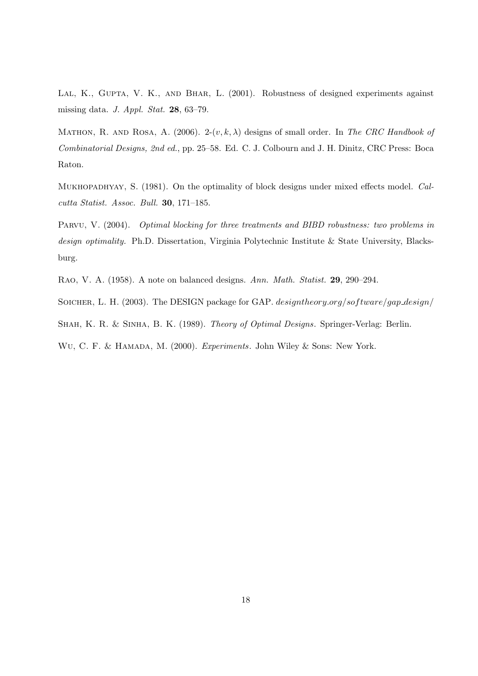LAL, K., GUPTA, V. K., AND BHAR, L. (2001). Robustness of designed experiments against missing data. J. Appl. Stat. 28, 63–79.

MATHON, R. AND ROSA, A. (2006). 2- $(v, k, \lambda)$  designs of small order. In The CRC Handbook of Combinatorial Designs, 2nd ed., pp. 25–58. Ed. C. J. Colbourn and J. H. Dinitz, CRC Press: Boca Raton.

Mukhopadhyay, S. (1981). On the optimality of block designs under mixed effects model. Calcutta Statist. Assoc. Bull. 30, 171–185.

PARVU, V. (2004). *Optimal blocking for three treatments and BIBD robustness: two problems in* design optimality. Ph.D. Dissertation, Virginia Polytechnic Institute & State University, Blacksburg.

Rao, V. A. (1958). A note on balanced designs. Ann. Math. Statist. 29, 290–294.

SOICHER, L. H. (2003). The DESIGN package for GAP. designtheory.org/software/gap\_design/

SHAH, K. R. & SINHA, B. K. (1989). Theory of Optimal Designs. Springer-Verlag: Berlin.

Wu, C. F. & Hamada, M. (2000). Experiments. John Wiley & Sons: New York.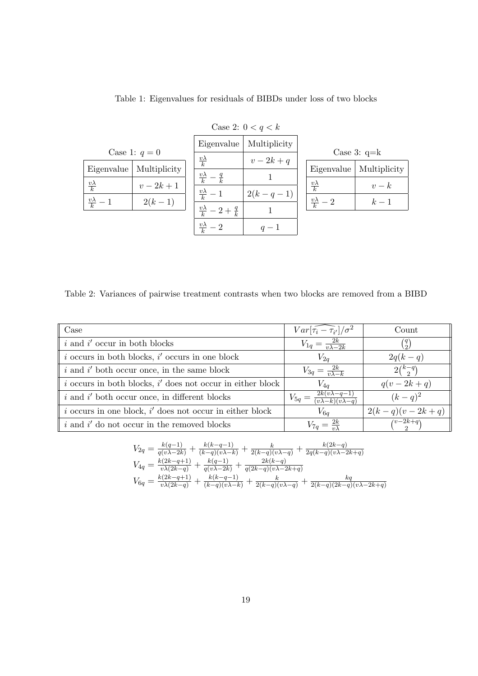|                        | Case 2: $0 < q < k$ |                                        |              |                        |              |  |  |  |
|------------------------|---------------------|----------------------------------------|--------------|------------------------|--------------|--|--|--|
|                        |                     | Eigenvalue                             | Multiplicity |                        |              |  |  |  |
|                        | Case 1: $q=0$       | $\frac{v\lambda}{k}$                   | $v-2k+q$     | Case 3: $q=k$          |              |  |  |  |
| Eigenvalue             | Multiplicity        |                                        |              | Eigenvalue             | Multiplicity |  |  |  |
|                        |                     | $\frac{v\lambda}{k}$<br>$-\frac{q}{k}$ |              |                        |              |  |  |  |
| $\frac{v\lambda}{k}$   | $v-2k+1$            |                                        |              | $\frac{v\lambda}{k}$   | $v-k$        |  |  |  |
| $\frac{v\lambda}{k}$ - | $2(k-1)$            | $\frac{v\lambda}{k}-1$                 | $2(k-q-1)$   | $\frac{v\lambda}{k}-2$ | $k-1$        |  |  |  |
|                        |                     | $\frac{v\lambda}{k} - 2 + \frac{q}{k}$ |              |                        |              |  |  |  |
|                        |                     |                                        |              |                        |              |  |  |  |
|                        |                     | $\frac{v\lambda}{k}-2$                 | $q-1$        |                        |              |  |  |  |

Table 1: Eigenvalues for residuals of BIBDs under loss of two blocks

Table 2: Variances of pairwise treatment contrasts when two blocks are removed from a BIBD

| Case                                                           | $Var\left[\widehat{\tau_i-\tau_{i'}}\right]/\sigma^2$                | Count                          |
|----------------------------------------------------------------|----------------------------------------------------------------------|--------------------------------|
| $i$ and $i'$ occur in both blocks                              | $V_{1q} = \frac{2k}{v\lambda - 2k}$                                  | $\binom{q}{2}$                 |
| $i$ occurs in both blocks, $i'$ occurs in one block            | $V_{2q}$                                                             | $2q(k-q)$                      |
| $i$ and $i'$ both occur once, in the same block                | $V_{3q} = \frac{2k}{v\lambda - k}$                                   | $2\binom{k-q}{2}$              |
| $i$ occurs in both blocks, $i'$ does not occur in either block | $V_{4a}$                                                             | $q(v-2k+q)$                    |
| $i$ and $i'$ both occur once, in different blocks              | $V_{5q} = \frac{2k(v\lambda - q - 1)}{(v\lambda - k)(v\lambda - q)}$ | $(k - q)^2$                    |
| $i$ occurs in one block, $i'$ does not occur in either block   | $V_{6q}$                                                             | $2(k-q)(v-2k+q)$               |
| $i$ and $i'$ do not occur in the removed blocks                | $V_{7a} = \frac{2k}{n}$                                              | $\overline{\binom{v-2k+q}{2}}$ |

$$
V_{2q} = \frac{k(q-1)}{q(v\lambda-2k)} + \frac{k(k-q-1)}{(k-q)(v\lambda-k)} + \frac{k}{2(k-q)(v\lambda-q)} + \frac{k(2k-q)}{2q(k-q)(v\lambda-2k+q)}
$$
  
\n
$$
V_{4q} = \frac{k(2k-q+1)}{v\lambda(2k-q)} + \frac{k(q-1)}{q(v\lambda-2k)} + \frac{2k(k-q)}{q(2k-q)(v\lambda-2k+q)}
$$
  
\n
$$
V_{6q} = \frac{k(2k-q+1)}{v\lambda(2k-q)} + \frac{k(k-q-1)}{(k-q)(v\lambda-k)} + \frac{k}{2(k-q)(v\lambda-q)} + \frac{kq}{2(k-q)(2k-q)(v\lambda-2k+q)}
$$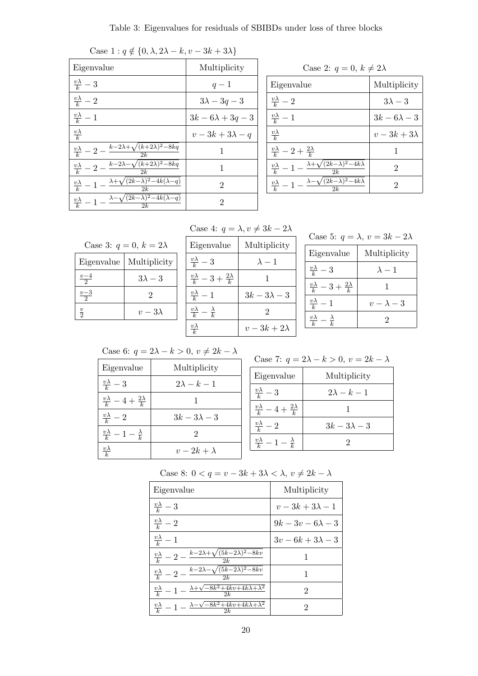| Case 1. $q \notin \{0, \lambda, 2\lambda - \kappa, v - 3\kappa + 3\lambda\}$               |                     |
|--------------------------------------------------------------------------------------------|---------------------|
| Eigenvalue                                                                                 | Multiplicity        |
| $\frac{v\lambda}{k}-3$                                                                     | $q-1$               |
| $\frac{v\lambda}{k}-2$                                                                     | $3\lambda - 3q - 3$ |
| $\frac{v\lambda}{k}-1$                                                                     | $3k-6\lambda+3q-3$  |
| $\frac{v\lambda}{k}$                                                                       | $v-3k+3\lambda-q$   |
| $\frac{v\lambda}{k} - 2 - \frac{k - 2\lambda + \sqrt{(k + 2\lambda)^2 - 8kq}}{2}$<br>2k    | 1                   |
| $\frac{v\lambda}{k} - 2 - \frac{k - 2\lambda - \sqrt{(k+2\lambda)^2 - 8kq}}{2}$<br>2k      | 1                   |
| $\frac{v\lambda}{k} - 1 - \frac{\lambda + \sqrt{(2k-\lambda)^2 - 4k(\lambda-q)}}{2}$<br>2k | 2                   |
| $\frac{v\lambda}{k} - 1 - \frac{\lambda - \sqrt{(2k-\lambda)^2 - 4k(\lambda-q)}}{2}$<br>2k | 2                   |

| Case 1 : $q \notin \{0, \lambda, 2\lambda - k, v - 3k + 3\lambda\}$ |  |
|---------------------------------------------------------------------|--|
|                                                                     |  |

Case 2:  $q=0,\,k\neq 2\lambda$ Eigenvalue Multiplicity  $\frac{v\lambda}{k} - 2$  3λ - 3  $\frac{v\lambda}{k}-1$  $3k - 6\lambda - 3$  $v\lambda$ k  $v-3k+3\lambda$  $\frac{v\lambda}{k} - 2 + \frac{2\lambda}{k}$ 1  $\frac{v\lambda}{k}$  $-1 \lambda + \sqrt{(2k-\lambda)^2-4k\lambda}$  $\overline{2k}$ 2  $\frac{v\lambda}{k}-1$  –  $\lambda - \sqrt{(2k-\lambda)^2 - 4k\lambda}$  $\overline{2k}$ 2

Case 4: 
$$
q = \lambda, v \neq 3k - 2\lambda
$$

| Case 3: $q = 0, k = 2\lambda$ |              |  |  |  |  |  |
|-------------------------------|--------------|--|--|--|--|--|
| Eigenvalue                    | Multiplicity |  |  |  |  |  |
| $\frac{v-4}{2}$               | $3\lambda-3$ |  |  |  |  |  |
| $rac{v-3}{2}$                 | 2            |  |  |  |  |  |
| $rac{v}{2}$                   | $v-3\lambda$ |  |  |  |  |  |
|                               |              |  |  |  |  |  |

| Eigenvalue                                    | Multiplicity    |
|-----------------------------------------------|-----------------|
| $rac{v\lambda}{k} - 3$                        | $\lambda - 1$   |
| $\frac{v\lambda}{k} - 3 + \frac{2\lambda}{k}$ |                 |
| $\frac{v\lambda}{k}-1$                        | $3k-3\lambda-3$ |
| $\frac{v\lambda}{k} - \frac{\lambda}{k}$      | 2               |
| $\frac{v\lambda}{k}$                          | $v-3k+2\lambda$ |

| Case 5: $q = \lambda$ , $v = 3k - 2\lambda$   |                   |  |  |  |  |  |
|-----------------------------------------------|-------------------|--|--|--|--|--|
| Eigenvalue                                    | Multiplicity      |  |  |  |  |  |
| $\frac{v\lambda}{k}-3$                        | $\lambda - 1$     |  |  |  |  |  |
| $\frac{v\lambda}{k} - 3 + \frac{2\lambda}{k}$ |                   |  |  |  |  |  |
| $\frac{v\lambda}{k}-1$                        | $v - \lambda - 3$ |  |  |  |  |  |
| $\frac{v\lambda}{\mu} - \frac{\lambda}{k}$    |                   |  |  |  |  |  |
|                                               |                   |  |  |  |  |  |

Case 6:  $q = 2\lambda - k > 0, v \neq 2k - \lambda$ 

| Eigenvalue                                    | Multiplicity       |
|-----------------------------------------------|--------------------|
| $rac{v\lambda}{k} - 3$                        | $2\lambda - k - 1$ |
| $\frac{v\lambda}{k} - 4 + \frac{2\lambda}{k}$ |                    |
| $\frac{v\lambda}{k}-2$                        | $3k-3\lambda-3$    |
| $\frac{v\lambda}{k}-1-\frac{\lambda}{k}$      | 2                  |
| $v\lambda$                                    | $v-2k+\lambda$     |

Case 7: 
$$
q = 2\lambda - k > 0, v = 2k - \lambda
$$

| Eigenvalue                                    | Multiplicity       |
|-----------------------------------------------|--------------------|
| $\frac{v\lambda}{k} - 3$                      | $2\lambda - k - 1$ |
| $\frac{v\lambda}{k} - 4 + \frac{2\lambda}{k}$ |                    |
| $\frac{v\lambda}{k}-2$                        | $3k-3\lambda-3$    |
| $\frac{v\lambda}{k}-1-\frac{\lambda}{k}$      |                    |

Case 8:  $0 < q = v - 3k + 3\lambda < \lambda, v \neq 2k - \lambda$ 

| Eigenvalue                                                                               | Multiplicity       |
|------------------------------------------------------------------------------------------|--------------------|
| $\frac{v\lambda}{k}-3$                                                                   | $v-3k+3\lambda-1$  |
| $\frac{v\lambda}{k}-2$                                                                   | $9k-3v-6\lambda-3$ |
| $\frac{v\lambda}{k}-1$                                                                   | $3v-6k+3\lambda-3$ |
| $\frac{v\lambda}{k} - 2 - \frac{k - 2\lambda + \sqrt{(5k - 2\lambda)^2 - 8kv}}{2}$<br>2k |                    |
| $\frac{v\lambda}{k}-2-\frac{k-2\lambda-\sqrt{(5k-2\lambda)^2-8kv}}{\Omega}$              |                    |
| $\frac{v\lambda}{k}-1-\frac{\lambda+\sqrt{-8k^2+4kv+4k\lambda+\lambda^2}}{2k}$<br>2k     | 2                  |
| $\frac{v\lambda}{k}-1-\frac{\lambda-\sqrt{-8k^2+4kv+4k\lambda+\lambda^2}}{2k}$           | 2                  |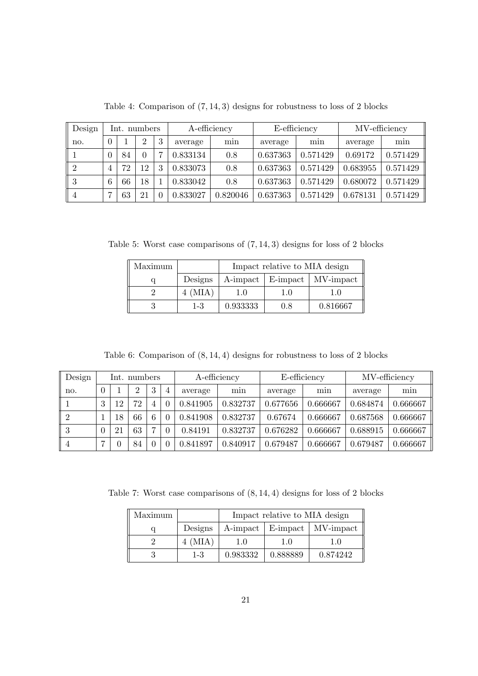| Design         |   | Int. numbers |                |   | A-efficiency |          | E-efficiency |          | MV-efficiency |          |
|----------------|---|--------------|----------------|---|--------------|----------|--------------|----------|---------------|----------|
| no.            |   |              | $\overline{2}$ | 3 | average      | min      | average      | min      | average       | min      |
|                |   | 84           | $\theta$       |   | 0.833134     | 0.8      | 0.637363     | 0.571429 | 0.69172       | 0.571429 |
| 2              | 4 | 72           | 12             | 3 | 0.833073     | 0.8      | 0.637363     | 0.571429 | 0.683955      | 0.571429 |
| 3              | 6 | 66           | 18             |   | 0.833042     | 0.8      | 0.637363     | 0.571429 | 0.680072      | 0.571429 |
| $\overline{4}$ |   | 63           | 21             |   | 0.833027     | 0.820046 | 0.637363     | 0.571429 | 0.678131      | 0.571429 |

Table 4: Comparison of (7, 14, 3) designs for robustness to loss of 2 blocks

Table 5: Worst case comparisons of (7, 14, 3) designs for loss of 2 blocks

| Maximum |             |          | Impact relative to MIA design |                                 |  |  |
|---------|-------------|----------|-------------------------------|---------------------------------|--|--|
|         | Designs     |          |                               | A-impact   E-impact   MV-impact |  |  |
|         | $4 \ (MIA)$ | 1.0      | 1.O                           | 1.0                             |  |  |
|         | $1 - 3$     | 0.933333 | 0.8                           | 0.816667                        |  |  |

Table 6: Comparison of  $(8, 14, 4)$  designs for robustness to loss of 2 blocks

| Design |                    |    | Int. numbers |   |   | A-efficiency |          | E-efficiency |          | MV-efficiency |          |
|--------|--------------------|----|--------------|---|---|--------------|----------|--------------|----------|---------------|----------|
| no.    |                    |    | າ            | 3 | 4 | average      | mın      | average      | min      | average       | min      |
|        | $\mathbf{Q}$<br>., | 12 | 72           | 4 |   | 0.841905     | 0.832737 | 0.677656     | 0.666667 | 0.684874      | 0.666667 |
| 2      |                    | 18 | 66           | 6 |   | 0.841908     | 0.832737 | 0.67674      | 0.666667 | 0.687568      | 0.666667 |
| 3      |                    | 21 | 63           | − |   | 0.84191      | 0.832737 | 0.676282     | 0.666667 | 0.688915      | 0.666667 |
| 4      |                    | 0  | 84           |   |   | 0.841897     | 0.840917 | 0.679487     | 0.666667 | 0.679487      | 0.666667 |

Table 7: Worst case comparisons of (8, 14, 4) designs for loss of 2 blocks

| Maximum | Impact relative to MIA design |          |          |                                 |  |  |
|---------|-------------------------------|----------|----------|---------------------------------|--|--|
|         | Designs                       |          |          | A-impact   E-impact   MV-impact |  |  |
|         | $4 \ (MIA)$                   | 1.0      | 1.0      | 1.0                             |  |  |
|         | $1 - 3$                       | 0.983332 | 0.888889 | 0.874242                        |  |  |